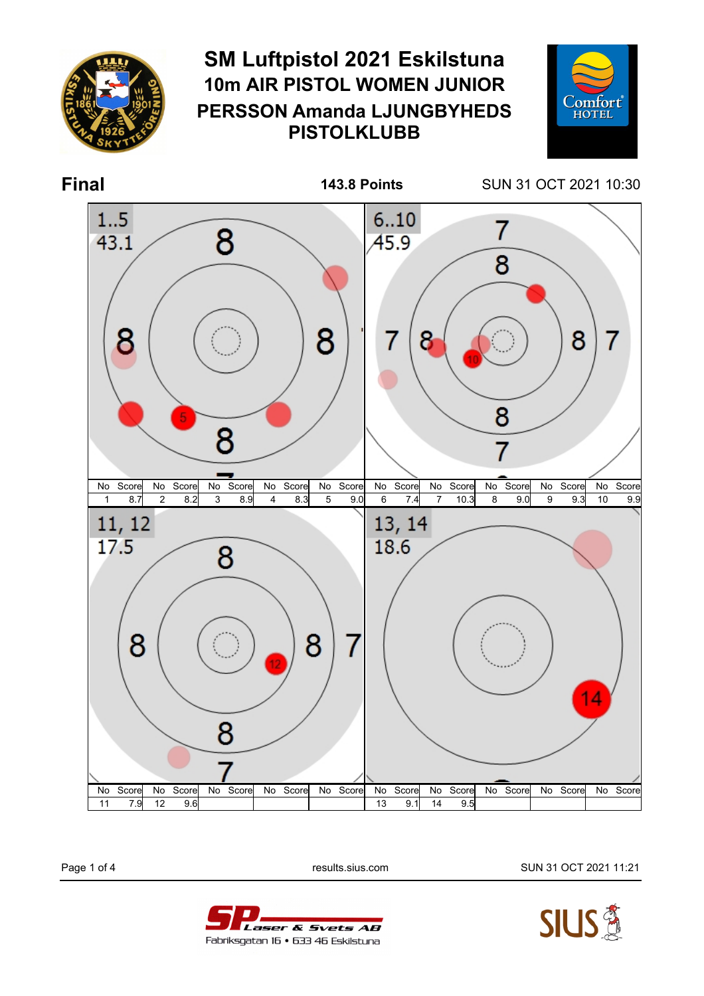

Page 1 of 4 results.sius.com SUN 31 OCT 2021 11:21



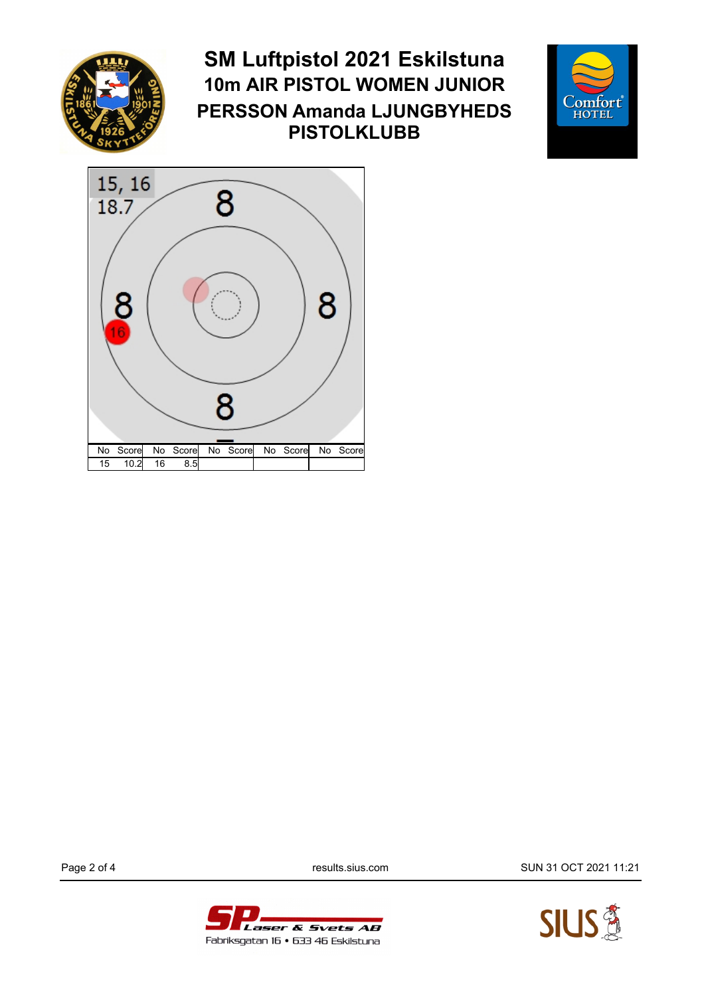

## **SM Luftpistol 2021 Eskilstuna 10m AIR PISTOL WOMEN JUNIOR PERSSON Amanda LJUNGBYHEDS PISTOLKLUBB**





Page 2 of 4 **results.sius.com results.sius.com** SUN 31 OCT 2021 11:21



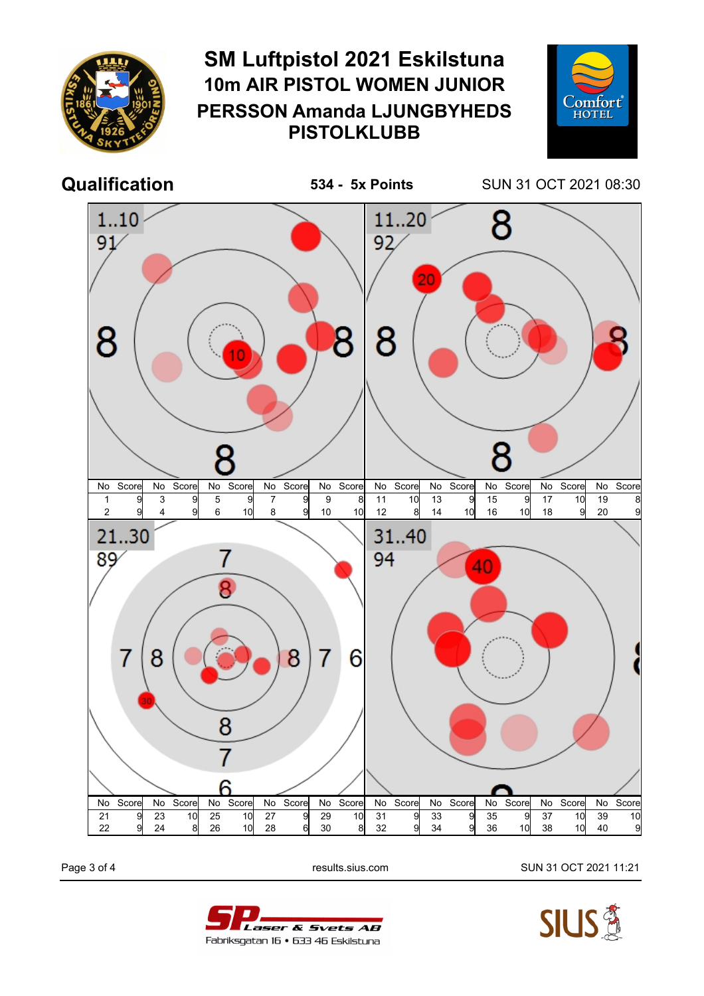

Page 3 of 4 results.sius.com SUN 31 OCT 2021 11:21